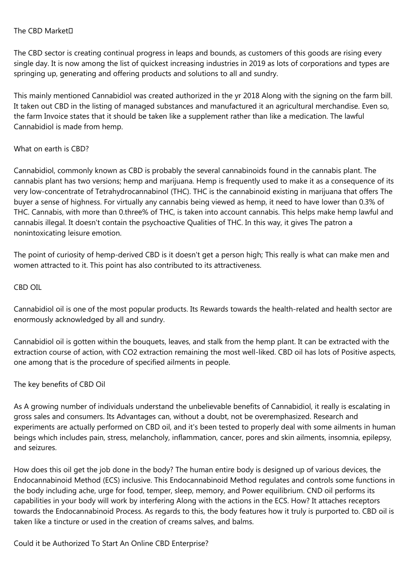#### The CBD Market

The CBD sector is creating continual progress in leaps and bounds, as customers of this goods are rising every single day. It is now among the list of quickest increasing industries in 2019 as lots of corporations and types are springing up, generating and offering products and solutions to all and sundry.

This mainly mentioned Cannabidiol was created authorized in the yr 2018 Along with the signing on the farm bill. It taken out CBD in the listing of managed substances and manufactured it an agricultural merchandise. Even so, the farm Invoice states that it should be taken like a supplement rather than like a medication. The lawful Cannabidiol is made from hemp.

#### What on earth is CBD?

Cannabidiol, commonly known as CBD is probably the several cannabinoids found in the cannabis plant. The cannabis plant has two versions; hemp and marijuana. Hemp is frequently used to make it as a consequence of its very low-concentrate of Tetrahydrocannabinol (THC). THC is the cannabinoid existing in marijuana that offers The buyer a sense of highness. For virtually any cannabis being viewed as hemp, it need to have lower than 0.3% of THC. Cannabis, with more than 0.three% of THC, is taken into account cannabis. This helps make hemp lawful and cannabis illegal. It doesn't contain the psychoactive Qualities of THC. In this way, it gives The patron a nonintoxicating leisure emotion.

The point of curiosity of hemp-derived CBD is it doesn't get a person high; This really is what can make men and women attracted to it. This point has also contributed to its attractiveness.

#### CBD OIL

Cannabidiol oil is one of the most popular products. Its Rewards towards the health-related and health sector are enormously acknowledged by all and sundry.

Cannabidiol oil is gotten within the bouquets, leaves, and stalk from the hemp plant. It can be extracted with the extraction course of action, with CO2 extraction remaining the most well-liked. CBD oil has lots of Positive aspects, one among that is the procedure of specified ailments in people.

## The key benefits of CBD Oil

As A growing number of individuals understand the unbelievable benefits of Cannabidiol, it really is escalating in gross sales and consumers. Its Advantages can, without a doubt, not be overemphasized. Research and experiments are actually performed on CBD oil, and it's been tested to properly deal with some ailments in human beings which includes pain, stress, melancholy, inflammation, cancer, pores and skin ailments, insomnia, epilepsy, and seizures.

How does this oil get the job done in the body? The human entire body is designed up of various devices, the Endocannabinoid Method (ECS) inclusive. This Endocannabinoid Method regulates and controls some functions in the body including ache, urge for food, temper, sleep, memory, and Power equilibrium. CND oil performs its capabilities in your body will work by interfering Along with the actions in the ECS. How? It attaches receptors towards the Endocannabinoid Process. As regards to this, the body features how it truly is purported to. CBD oil is taken like a tincture or used in the creation of creams salves, and balms.

Could it be Authorized To Start An Online CBD Enterprise?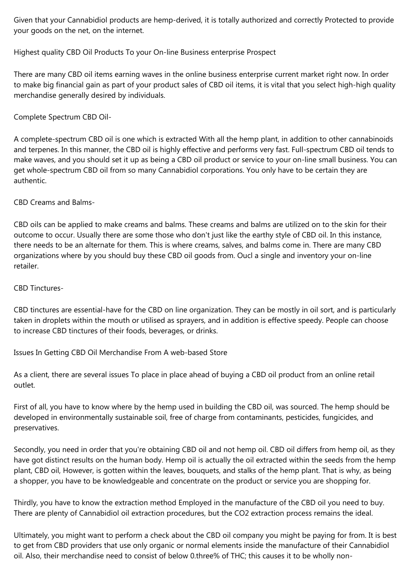Given that your Cannabidiol products are hemp-derived, it is totally authorized and correctly Protected to provide your goods on the net, on the internet.

# Highest quality CBD Oil Products To your On-line Business enterprise Prospect

There are many CBD oil items earning waves in the online business enterprise current market right now. In order to make big financial gain as part of your product sales of CBD oil items, it is vital that you select high-high quality merchandise generally desired by individuals.

# Complete Spectrum CBD Oil-

A complete-spectrum CBD oil is one which is extracted With all the hemp plant, in addition to other cannabinoids and terpenes. In this manner, the CBD oil is highly effective and performs very fast. Full-spectrum CBD oil tends to make waves, and you should set it up as being a CBD oil product or service to your on-line small business. You can get whole-spectrum CBD oil from so many Cannabidiol corporations. You only have to be certain they are authentic.

## CBD Creams and Balms-

CBD oils can be applied to make creams and balms. These creams and balms are utilized on to the skin for their outcome to occur. Usually there are some those who don't just like the earthy style of CBD oil. In this instance, there needs to be an alternate for them. This is where creams, salves, and balms come in. There are many CBD organizations where by you should buy these CBD oil goods from. Oucl a single and inventory your on-line retailer.

## CBD Tinctures-

CBD tinctures are essential-have for the CBD on line organization. They can be mostly in oil sort, and is particularly taken in droplets within the mouth or utilised as sprayers, and in addition is effective speedy. People can choose to increase CBD tinctures of their foods, beverages, or drinks.

Issues In Getting CBD Oil Merchandise From A web-based Store

As a client, there are several issues To place in place ahead of buying a CBD oil product from an online retail outlet.

First of all, you have to know where by the hemp used in building the CBD oil, was sourced. The hemp should be developed in environmentally sustainable soil, free of charge from contaminants, pesticides, fungicides, and preservatives.

Secondly, you need in order that you're obtaining CBD oil and not hemp oil. CBD oil differs from hemp oil, as they have got distinct results on the human body. Hemp oil is actually the oil extracted within the seeds from the hemp plant, CBD oil, However, is gotten within the leaves, bouquets, and stalks of the hemp plant. That is why, as being a shopper, you have to be knowledgeable and concentrate on the product or service you are shopping for.

Thirdly, you have to know the extraction method Employed in the manufacture of the CBD oil you need to buy. There are plenty of Cannabidiol oil extraction procedures, but the CO2 extraction process remains the ideal.

Ultimately, you might want to perform a check about the CBD oil company you might be paying for from. It is best to get from CBD providers that use only organic or normal elements inside the manufacture of their Cannabidiol oil. Also, their merchandise need to consist of below 0.three% of THC; this causes it to be wholly non-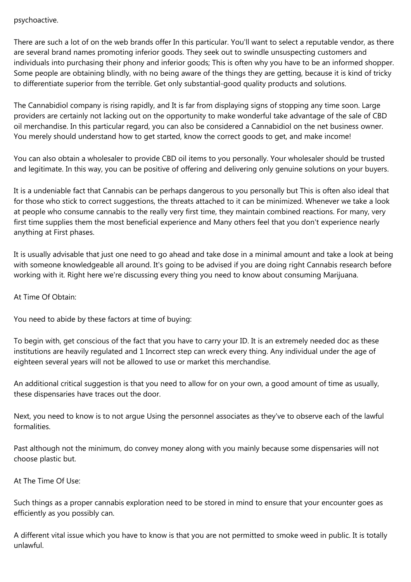### psychoactive.

There are such a lot of on the web brands offer In this particular. You'll want to select a reputable vendor, as there are several brand names promoting inferior goods. They seek out to swindle unsuspecting customers and individuals into purchasing their phony and inferior goods; This is often why you have to be an informed shopper. Some people are obtaining blindly, with no being aware of the things they are getting, because it is kind of tricky to differentiate superior from the terrible. Get only substantial-good quality products and solutions.

The Cannabidiol company is rising rapidly, and It is far from displaying signs of stopping any time soon. Large providers are certainly not lacking out on the opportunity to make wonderful take advantage of the sale of CBD oil merchandise. In this particular regard, you can also be considered a Cannabidiol on the net business owner. You merely should understand how to get started, know the correct goods to get, and make income!

You can also obtain a wholesaler to provide CBD oil items to you personally. Your wholesaler should be trusted and legitimate. In this way, you can be positive of offering and delivering only genuine solutions on your buyers.

It is a undeniable fact that Cannabis can be perhaps dangerous to you personally but This is often also ideal that for those who stick to correct suggestions, the threats attached to it can be minimized. Whenever we take a look at people who consume cannabis to the really very first time, they maintain combined reactions. For many, very first time supplies them the most beneficial experience and Many others feel that you don't experience nearly anything at First phases.

It is usually advisable that just one need to go ahead and take dose in a minimal amount and take a look at being with someone knowledgeable all around. It's going to be advised if you are doing right Cannabis research before working with it. Right here we're discussing every thing you need to know about consuming Marijuana.

At Time Of Obtain:

You need to abide by these factors at time of buying:

To begin with, get conscious of the fact that you have to carry your ID. It is an extremely needed doc as these institutions are heavily regulated and 1 Incorrect step can wreck every thing. Any individual under the age of eighteen several years will not be allowed to use or market this merchandise.

An additional critical suggestion is that you need to allow for on your own, a good amount of time as usually, these dispensaries have traces out the door.

Next, you need to know is to not argue Using the personnel associates as they've to observe each of the lawful formalities.

Past although not the minimum, do convey money along with you mainly because some dispensaries will not choose plastic but.

At The Time Of Use:

Such things as a proper cannabis exploration need to be stored in mind to ensure that your encounter goes as efficiently as you possibly can.

A different vital issue which you have to know is that you are not permitted to smoke weed in public. It is totally unlawful.